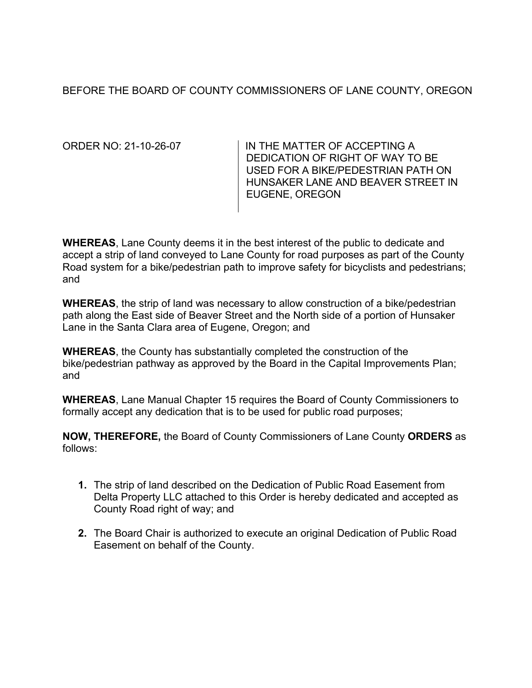BEFORE THE BOARD OF COUNTY COMMISSIONERS OF LANE COUNTY, OREGON

ORDER NO: 21-10-26-07 IN THE MATTER OF ACCEPTING A DEDICATION OF RIGHT OF WAY TO BE USED FOR A BIKE/PEDESTRIAN PATH ON HUNSAKER LANE AND BEAVER STREET IN EUGENE, OREGON

**WHEREAS**, Lane County deems it in the best interest of the public to dedicate and accept a strip of land conveyed to Lane County for road purposes as part of the County Road system for a bike/pedestrian path to improve safety for bicyclists and pedestrians; and

**WHEREAS**, the strip of land was necessary to allow construction of a bike/pedestrian path along the East side of Beaver Street and the North side of a portion of Hunsaker Lane in the Santa Clara area of Eugene, Oregon; and

**WHEREAS**, the County has substantially completed the construction of the bike/pedestrian pathway as approved by the Board in the Capital Improvements Plan; and

**WHEREAS**, Lane Manual Chapter 15 requires the Board of County Commissioners to formally accept any dedication that is to be used for public road purposes;

**NOW, THEREFORE,** the Board of County Commissioners of Lane County **ORDERS** as follows:

- **1.** The strip of land described on the Dedication of Public Road Easement from Delta Property LLC attached to this Order is hereby dedicated and accepted as County Road right of way; and
- **2.** The Board Chair is authorized to execute an original Dedication of Public Road Easement on behalf of the County.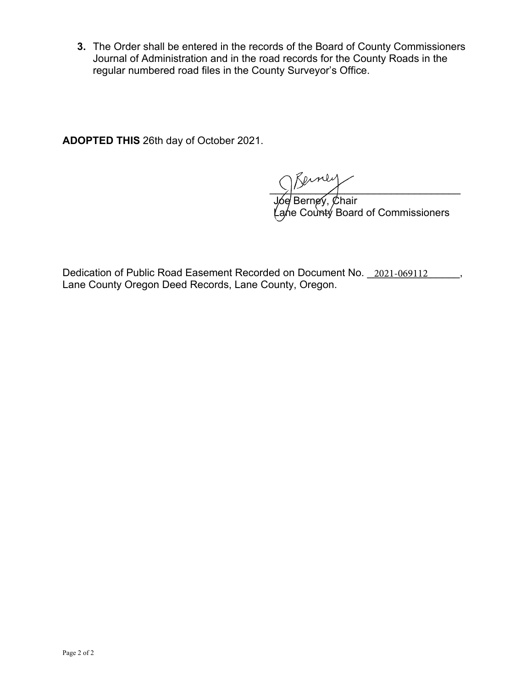**3.** The Order shall be entered in the records of the Board of County Commissioners Journal of Administration and in the road records for the County Roads in the regular numbered road files in the County Surveyor's Office.

**ADOPTED THIS** 26th day of October 2021.

 $\sum_{i=1}^n$ 

Joe Berney, Chair Lane County Board of Commissioners

Dedication of Public Road Easement Recorded on Document No. \_2021-069112 \_\_\_\_\_, Lane County Oregon Deed Records, Lane County, Oregon.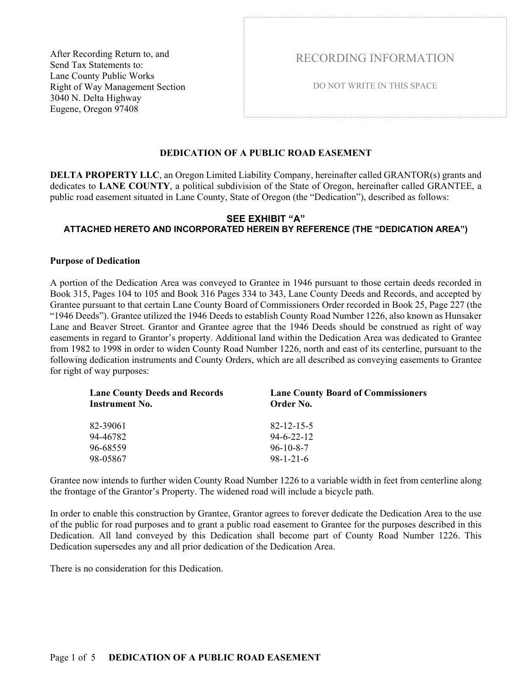After Recording Return to, and Send Tax Statements to: Lane County Public Works Right of Way Management Section 3040 N. Delta Highway Eugene, Oregon 97408

RECORDING INFORMATION

DO NOT WRITE IN THIS SPACE

## **DEDICATION OF A PUBLIC ROAD EASEMENT**

**DELTA PROPERTY LLC**, an Oregon Limited Liability Company, hereinafter called GRANTOR(s) grants and dedicates to **LANE COUNTY**, a political subdivision of the State of Oregon, hereinafter called GRANTEE, a public road easement situated in Lane County, State of Oregon (the "Dedication"), described as follows:

### **SEE EXHIBIT "A" ATTACHED HERETO AND INCORPORATED HEREIN BY REFERENCE (THE "DEDICATION AREA")**

#### **Purpose of Dedication**

A portion of the Dedication Area was conveyed to Grantee in 1946 pursuant to those certain deeds recorded in Book 315, Pages 104 to 105 and Book 316 Pages 334 to 343, Lane County Deeds and Records, and accepted by Grantee pursuant to that certain Lane County Board of Commissioners Order recorded in Book 25, Page 227 (the "1946 Deeds"). Grantee utilized the 1946 Deeds to establish County Road Number 1226, also known as Hunsaker Lane and Beaver Street. Grantor and Grantee agree that the 1946 Deeds should be construed as right of way easements in regard to Grantor's property. Additional land within the Dedication Area was dedicated to Grantee from 1982 to 1998 in order to widen County Road Number 1226, north and east of its centerline, pursuant to the following dedication instruments and County Orders, which are all described as conveying easements to Grantee for right of way purposes:

| <b>Lane County Deeds and Records</b><br><b>Instrument No.</b> | <b>Lane County Board of Commissioners</b><br>Order No. |
|---------------------------------------------------------------|--------------------------------------------------------|
| 82-39061                                                      | $82 - 12 - 15 - 5$                                     |
| 94-46782                                                      | $94-6-22-12$                                           |
| 96-68559                                                      | $96 - 10 - 8 - 7$                                      |
| 98-05867                                                      | $98 - 1 - 21 - 6$                                      |

Grantee now intends to further widen County Road Number 1226 to a variable width in feet from centerline along the frontage of the Grantor's Property. The widened road will include a bicycle path.

In order to enable this construction by Grantee, Grantor agrees to forever dedicate the Dedication Area to the use of the public for road purposes and to grant a public road easement to Grantee for the purposes described in this Dedication. All land conveyed by this Dedication shall become part of County Road Number 1226. This Dedication supersedes any and all prior dedication of the Dedication Area.

There is no consideration for this Dedication.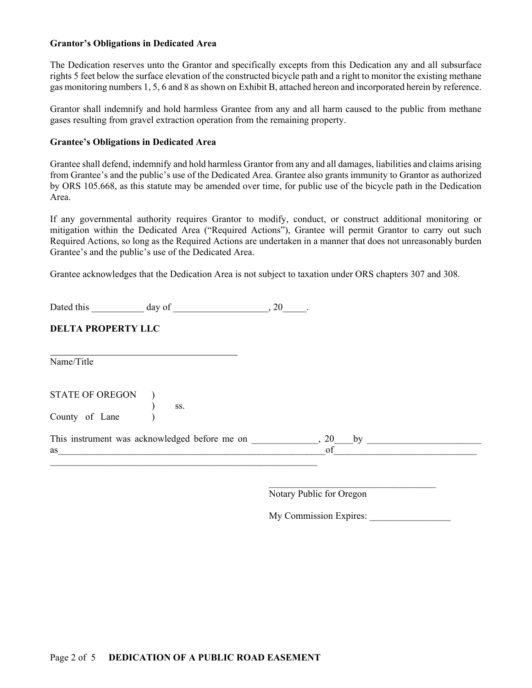#### **Grantor's Obligations in Dedicated Area**

The Dedication reserves unto the Grantor and specifically excepts from this Dedication any and all subsurface rights 5 feet below the surface elevation of the constructed bicycle path and a right to monitor the existing methane gas monitoring numbers 1, 5, 6 and 8 as shown on Exhibit B, attached hereon and incorporated herein by reference.

Grantor shall indemnify and hold harmless Grantee from any and all harm caused to the public from methane gases resulting from gravel extraction operation from the remaining property.

#### **Grantee's Obligations in Dedicated Area**

Grantee shall defend, indemnify and hold harmless Grantor from any and all damages, liabilities and claims arising from Grantee's and the public's use of the Dedicated Area. Grantee also grants immunity to Grantor as authorized by ORS 105.668, as this statute may be amended over time, for public use of the bicycle path in the Dedication Area.

If any governmental authority requires Grantor to modify, conduct, or construct additional monitoring or mitigation within the Dedicated Area ("Required Actions"), Grantee will permit Grantor to carry out such Required Actions, so long as the Required Actions are undertaken in a manner that does not unreasonably burden Grantee's and the public's use of the Dedicated Area.

Grantee acknowledges that the Dedication Area is not subject to taxation under ORS chapters 307 and 308.

Dated this day of 20 and  $\frac{1}{2}$ , 20 and  $\frac{1}{2}$ 

## **DELTA PROPERTY LLC**

Name/Title

 $\overline{a}$ 

STATE OF OREGON )  $\qquad \qquad$   $\qquad$   $\qquad$   $\qquad$   $\qquad$   $\qquad$   $\qquad$   $\qquad$   $\qquad$   $\qquad$   $\qquad$   $\qquad$   $\qquad$   $\qquad$   $\qquad$   $\qquad$   $\qquad$   $\qquad$   $\qquad$   $\qquad$   $\qquad$   $\qquad$   $\qquad$   $\qquad$   $\qquad$   $\qquad$   $\qquad$   $\qquad$   $\qquad$   $\qquad$   $\qquad$   $\qquad$   $\qquad$   $\qquad$   $\qquad$   $\qquad$   $\$ County of Lane (

| This instrument was acknowledged before me on |  |
|-----------------------------------------------|--|
| as                                            |  |
|                                               |  |

 $\mathcal{L}_\text{max}$  and  $\mathcal{L}_\text{max}$  and  $\mathcal{L}_\text{max}$  and  $\mathcal{L}_\text{max}$  and  $\mathcal{L}_\text{max}$ 

Notary Public for Oregon

My Commission Expires: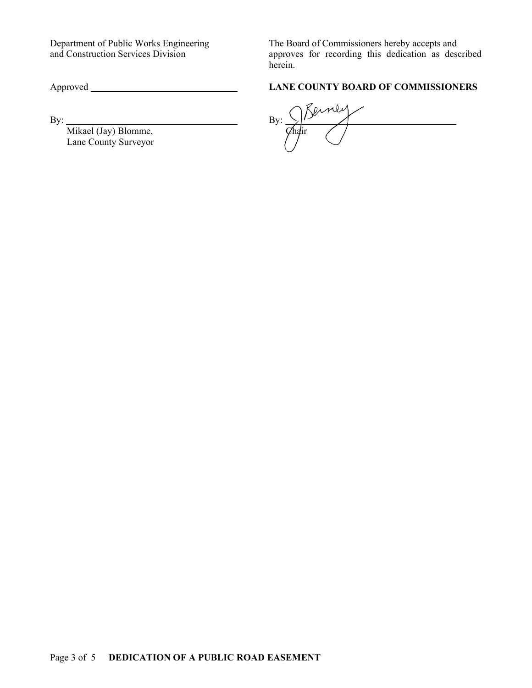Mikael (Jay) Blomme, Chair Lane County Surveyor

Department of Public Works Engineering The Board of Commissioners hereby accepts and and Construction Services Division approves for recording this dedication as described herein.

# Approved **LANE COUNTY BOARD OF COMMISSIONERS**

By:  $\qquad \qquad \qquad \qquad \qquad \qquad \qquad \qquad \qquad \qquad \text{By:}$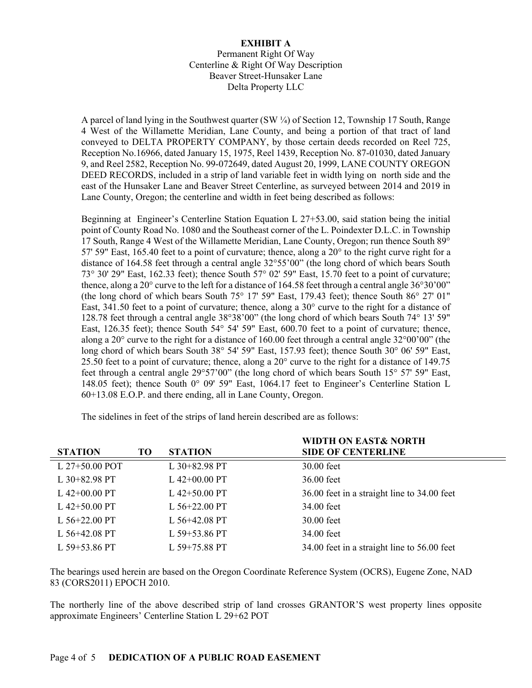## **EXHIBIT A**

Permanent Right Of Way Centerline & Right Of Way Description Beaver Street-Hunsaker Lane Delta Property LLC

A parcel of land lying in the Southwest quarter (SW ¼) of Section 12, Township 17 South, Range 4 West of the Willamette Meridian, Lane County, and being a portion of that tract of land conveyed to DELTA PROPERTY COMPANY, by those certain deeds recorded on Reel 725, Reception No.16966, dated January 15, 1975, Reel 1439, Reception No. 87-01030, dated January 9, and Reel 2582, Reception No. 99-072649, dated August 20, 1999, LANE COUNTY OREGON DEED RECORDS, included in a strip of land variable feet in width lying on north side and the east of the Hunsaker Lane and Beaver Street Centerline, as surveyed between 2014 and 2019 in Lane County, Oregon; the centerline and width in feet being described as follows:

Beginning at Engineer's Centerline Station Equation L 27+53.00, said station being the initial point of County Road No. 1080 and the Southeast corner of the L. Poindexter D.L.C. in Township 17 South, Range 4 West of the Willamette Meridian, Lane County, Oregon; run thence South 89° 57' 59" East,  $165.40$  feet to a point of curvature; thence, along a  $20^{\circ}$  to the right curve right for a distance of 164.58 feet through a central angle 32°55'00" (the long chord of which bears South 73° 30' 29" East, 162.33 feet); thence South 57° 02' 59" East, 15.70 feet to a point of curvature; thence, along a 20 $^{\circ}$  curve to the left for a distance of 164.58 feet through a central angle 36 $^{\circ}$ 30'00" (the long chord of which bears South 75° 17' 59" East, 179.43 feet); thence South 86° 27' 01" East, 341.50 feet to a point of curvature; thence, along a 30° curve to the right for a distance of 128.78 feet through a central angle 38°38'00" (the long chord of which bears South 74° 13' 59" East, 126.35 feet); thence South 54° 54' 59" East, 600.70 feet to a point of curvature; thence, along a 20° curve to the right for a distance of 160.00 feet through a central angle 32°00'00" (the long chord of which bears South 38° 54' 59" East, 157.93 feet); thence South 30° 06' 59" East, 25.50 feet to a point of curvature; thence, along a  $20^{\circ}$  curve to the right for a distance of 149.75 feet through a central angle 29°57'00" (the long chord of which bears South 15° 57' 59" East, 148.05 feet); thence South 0° 09' 59" East, 1064.17 feet to Engineer's Centerline Station L 60+13.08 E.O.P. and there ending, all in Lane County, Oregon.

**STATION TO STATION WIDTH ON EAST& NORTH SIDE OF CENTERLINE**  L 27+50.00 POT L 30+82.98 PT 30.00 feet L 30+82.98 PT L 42+00.00 PT 36.00 feet L 42+00.00 PT L 42+50.00 PT  $\qquad 36.00$  feet in a straight line to 34.00 feet L 42+50.00 PT L 56+22.00 PT 34.00 feet L 56+22.00 PT L 56+42.08 PT 30.00 feet L 56+42.08 PT L 59+53.86 PT 34.00 feet L 59+53.86 PT L 59+75.88 PT 34.00 feet in a straight line to 56.00 feet

The sidelines in feet of the strips of land herein described are as follows:

The bearings used herein are based on the Oregon Coordinate Reference System (OCRS), Eugene Zone, NAD 83 (CORS2011) EPOCH 2010.

The northerly line of the above described strip of land crosses GRANTOR'S west property lines opposite approximate Engineers' Centerline Station L 29+62 POT